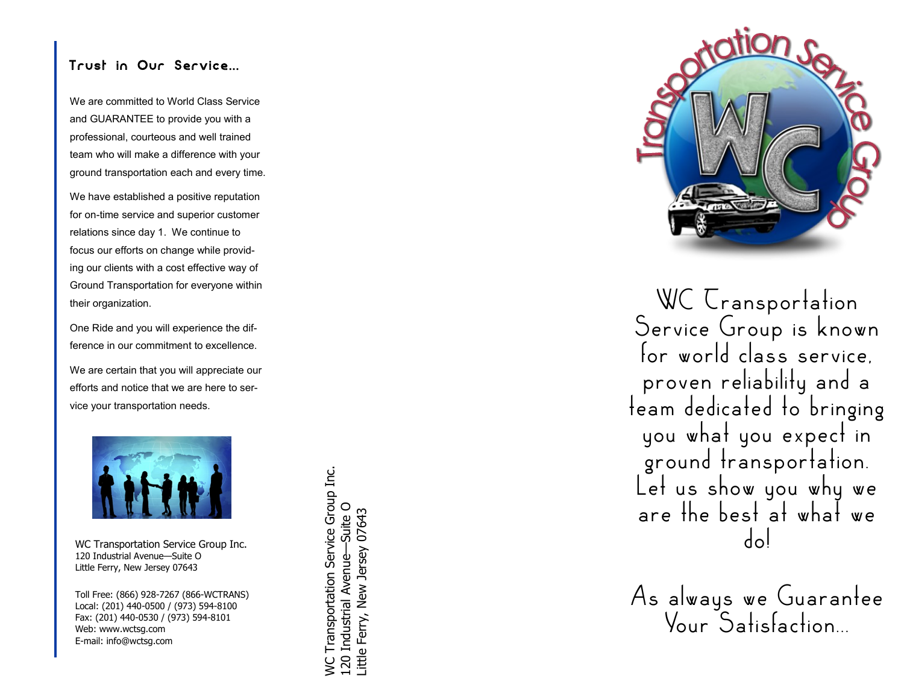#### Trust in Our Service...

We are committed to World Class Service and GUARANTEE to provide you with a professional, courteous and well trained team who will make a difference with your ground transportation each and every time.

We have established a positive reputation for on -time service and superior customer relations since day 1. We continue to focus our efforts on change while providing our clients with a cost effective way of Ground Transportation for everyone within their organization.

One Ride and you will experience the difference in our commitment to excellence.

We are certain that you will appreciate our efforts and notice that we are here to service your transportation needs.



WC Transportation Service Group Inc. 120 Industrial Avenue —Suite O Little Ferry, New Jersey 07643

Toll Free: (866) 928 -7267 (866 -WCTRANS) Local: (201) 440 -0500 / (973) 594 -8100 Fax: (201) 440 -0530 / (973) 594 -8101 Web: www.wctsg.com E-mail: info@wctsg.com

**NC Transportation Service Group Inc.** WC Transportation Service Group Inc. 120 Industrial Avenue-Suite O 120 Industrial Avenue—Suite O little Ferry, New Jersey 07643 Little Ferry, New Jersey 07643



WC Cransportation Service Group is known for world class service. proven reliability and a team dedicated to bringing you what you expect in ground transportation. Let us show you why we are the best at what we do!

As always we Guarantee Your Satisfaction...